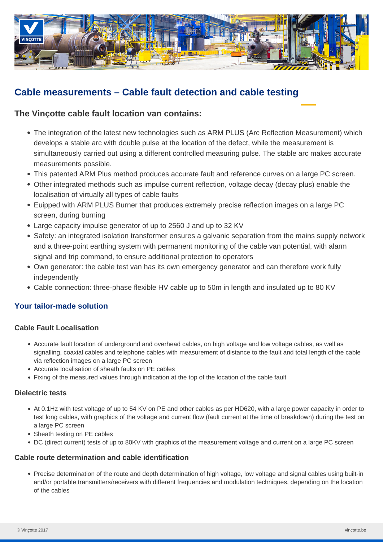

# **Cable measurements – Cable fault detection and cable testing**

## **The Vinçotte cable fault location van contains:**

- The integration of the latest new technologies such as ARM PLUS (Arc Reflection Measurement) which develops a stable arc with double pulse at the location of the defect, while the measurement is simultaneously carried out using a different controlled measuring pulse. The stable arc makes accurate measurements possible.
- This patented ARM Plus method produces accurate fault and reference curves on a large PC screen.
- Other integrated methods such as impulse current reflection, voltage decay (decay plus) enable the localisation of virtually all types of cable faults
- Euipped with ARM PLUS Burner that produces extremely precise reflection images on a large PC screen, during burning
- Large capacity impulse generator of up to 2560 J and up to 32 KV
- Safety: an integrated isolation transformer ensures a galvanic separation from the mains supply network and a three-point earthing system with permanent monitoring of the cable van potential, with alarm signal and trip command, to ensure additional protection to operators
- Own generator: the cable test van has its own emergency generator and can therefore work fully independently
- Cable connection: three-phase flexible HV cable up to 50m in length and insulated up to 80 KV

## **Your tailor-made solution**

## **Cable Fault Localisation**

- Accurate fault location of underground and overhead cables, on high voltage and low voltage cables, as well as signalling, coaxial cables and telephone cables with measurement of distance to the fault and total length of the cable via reflection images on a large PC screen
- Accurate localisation of sheath faults on PE cables
- Fixing of the measured values through indication at the top of the location of the cable fault

## **Dielectric tests**

- At 0.1Hz with test voltage of up to 54 KV on PE and other cables as per HD620, with a large power capacity in order to test long cables, with graphics of the voltage and current flow (fault current at the time of breakdown) during the test on a large PC screen
- Sheath testing on PE cables
- DC (direct current) tests of up to 80KV with graphics of the measurement voltage and current on a large PC screen

## **Cable route determination and cable identification**

Precise determination of the route and depth determination of high voltage, low voltage and signal cables using built-in and/or portable transmitters/receivers with different frequencies and modulation techniques, depending on the location of the cables